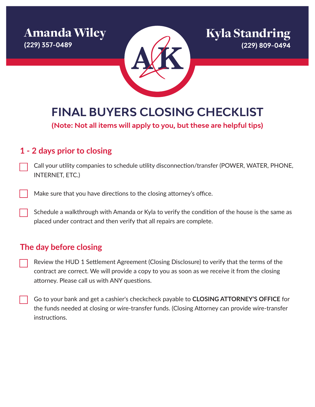Amanda Wiley **(229) 357-0489**



**FINAL BUYERS CLOSING CHECKLIST**

**(Note: Not all items will apply to you, but these are helpful tips)**

### **1 - 2 days prior to closing**

- Call your utility companies to schedule utility disconnection/transfer (POWER, WATER, PHONE, INTERNET, ETC.)
- Make sure that you have directions to the closing attorney's office.
- Schedule a walkthrough with Amanda or Kyla to verify the condition of the house is the same as placed under contract and then verify that all repairs are complete.

### **The day before closing**

- Review the HUD 1 Settlement Agreement (Closing Disclosure) to verify that the terms of the contract are correct. We will provide a copy to you as soon as we receive it from the closing attorney. Please call us with ANY questions.
- Go to your bank and get a cashier's checkcheck payable to **CLOSING ATTORNEY'S OFFICE** for the funds needed at closing or wire-transfer funds. (Closing Attorney can provide wire-transfer instructions.